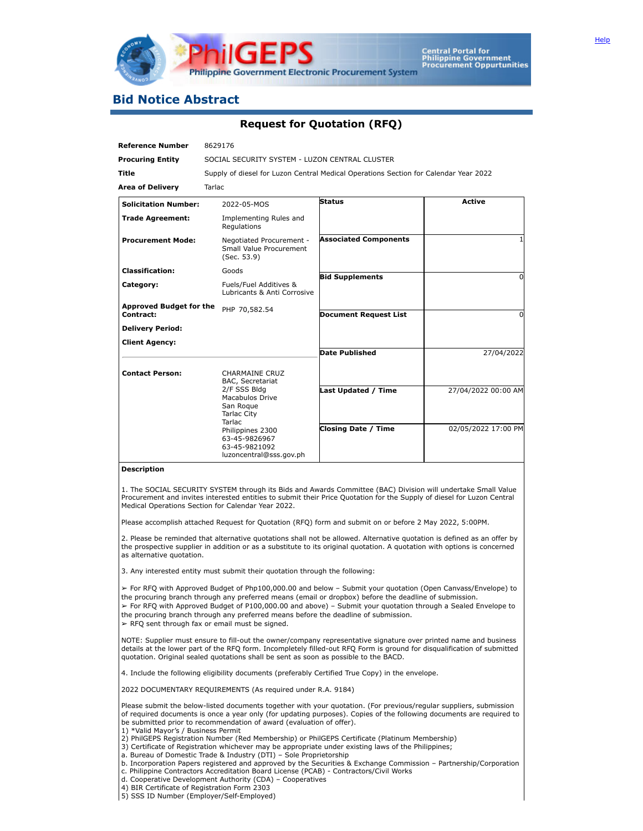

## **Bid Notice Abstract**

## **Request for Quotation (RFQ)**

| <b>Reference Number</b>                     | 8629176                                                                                                                                                                                                           |                              |                     |
|---------------------------------------------|-------------------------------------------------------------------------------------------------------------------------------------------------------------------------------------------------------------------|------------------------------|---------------------|
| <b>Procuring Entity</b>                     | SOCIAL SECURITY SYSTEM - LUZON CENTRAL CLUSTER                                                                                                                                                                    |                              |                     |
| <b>Title</b>                                | Supply of diesel for Luzon Central Medical Operations Section for Calendar Year 2022                                                                                                                              |                              |                     |
| <b>Area of Delivery</b>                     | <b>Tarlac</b>                                                                                                                                                                                                     |                              |                     |
| <b>Solicitation Number:</b>                 | 2022-05-MOS                                                                                                                                                                                                       | <b>Status</b>                | <b>Active</b>       |
| <b>Trade Agreement:</b>                     | Implementing Rules and<br>Regulations                                                                                                                                                                             |                              |                     |
| <b>Procurement Mode:</b>                    | Negotiated Procurement -<br>Small Value Procurement<br>(Sec. 53.9)                                                                                                                                                | <b>Associated Components</b> |                     |
| <b>Classification:</b>                      | Goods                                                                                                                                                                                                             | <b>Bid Supplements</b>       | O                   |
| Category:                                   | Fuels/Fuel Additives &<br>Lubricants & Anti Corrosive                                                                                                                                                             |                              |                     |
| <b>Approved Budget for the</b><br>Contract: | PHP 70,582.54                                                                                                                                                                                                     | <b>Document Request List</b> | O                   |
| <b>Delivery Period:</b>                     |                                                                                                                                                                                                                   |                              |                     |
| <b>Client Agency:</b>                       |                                                                                                                                                                                                                   |                              |                     |
|                                             |                                                                                                                                                                                                                   | <b>Date Published</b>        | 27/04/2022          |
| <b>Contact Person:</b>                      | <b>CHARMAINE CRUZ</b><br>BAC, Secretariat<br>2/F SSS Bldg<br>Macabulos Drive<br>San Roque<br><b>Tarlac City</b><br><b>Tarlac</b><br>Philippines 2300<br>63-45-9826967<br>63-45-9821092<br>luzoncentral@sss.gov.ph |                              |                     |
|                                             |                                                                                                                                                                                                                   | <b>Last Updated / Time</b>   | 27/04/2022 00:00 AM |
|                                             |                                                                                                                                                                                                                   | <b>Closing Date / Time</b>   | 02/05/2022 17:00 PM |

## **Description**

1. The SOCIAL SECURITY SYSTEM through its Bids and Awards Committee (BAC) Division will undertake Small Value Procurement and invites interested entities to submit their Price Quotation for the Supply of diesel for Luzon Central Medical Operations Section for Calendar Year 2022.

Please accomplish attached Request for Quotation (RFQ) form and submit on or before 2 May 2022, 5:00PM.

2. Please be reminded that alternative quotations shall not be allowed. Alternative quotation is defined as an offer by the prospective supplier in addition or as a substitute to its original quotation. A quotation with options is concerned as alternative quotation.

3. Any interested entity must submit their quotation through the following:

➢ For RFQ with Approved Budget of Php100,000.00 and below – Submit your quotation (Open Canvass/Envelope) to the procuring branch through any preferred means (email or dropbox) before the deadline of submission. ➢ For RFQ with Approved Budget of P100,000.00 and above) – Submit your quotation through a Sealed Envelope to the procuring branch through any preferred means before the deadline of submission.

 $\triangleright$  RFQ sent through fax or email must be signed.

NOTE: Supplier must ensure to fill-out the owner/company representative signature over printed name and business details at the lower part of the RFQ form. Incompletely filled-out RFQ Form is ground for disqualification of submitted quotation. Original sealed quotations shall be sent as soon as possible to the BACD.

4. Include the following eligibility documents (preferably Certified True Copy) in the envelope.

2022 DOCUMENTARY REQUIREMENTS (As required under R.A. 9184)

Please submit the below-listed documents together with your quotation. (For previous/regular suppliers, submission of required documents is once a year only (for updating purposes). Copies of the following documents are required to be submitted prior to recommendation of award (evaluation of offer).

- 1) \*Valid Mayor's / Business Permit
- 2) PhilGEPS Registration Number (Red Membership) or PhilGEPS Certificate (Platinum Membership)
- 3) Certificate of Registration whichever may be appropriate under existing laws of the Philippines;
- a. Bureau of Domestic Trade & Industry (DTI) Sole Proprietorship
- b. Incorporation Papers registered and approved by the Securities & Exchange Commission Partnership/Corporation c. Philippine Contractors Accreditation Board License (PCAB) - Contractors/Civil Works
- d. Cooperative Development Authority (CDA) Cooperatives
- 4) BIR Certificate of Registration Form 2303
- 5) SSS ID Number (Employer/Self-Employed)